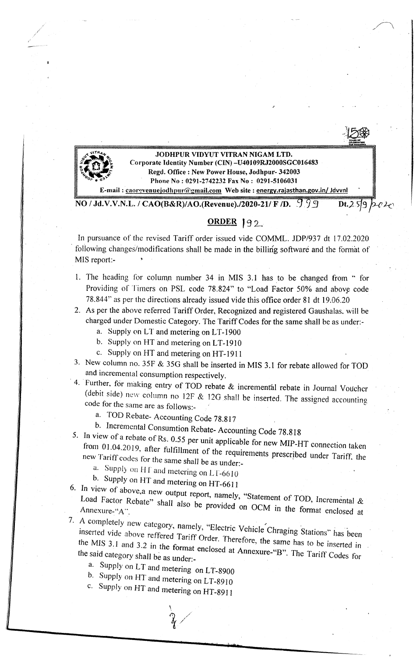JODHPUR VIDYUT VITRAN NIGAM LTD. Corporate Identity Number (CIN) -U401 09RJ2000SGCOI 6483 Regd. Office: New Power House, Jodhpur- 342003 Phone No : 0291-2742232 Fax No: 0291-5106031 Imail : caorevenuejodhpur@gmail.com Web site : energy.rajasthan.gov.in/ Jdvvnl NO / Jd.V.V.N.L. / CAO(B&R)/AO.(Revenue)./2020-21/ F /D. 999 Dt.2.59 p-02

## ORDER 192.

In pursuance of the revised Tariff order issued vide COMML. JDP/937 dt 17.02.2020 following changes/modifications shall be made in the billing software and the format of MIS report:-

- 1. The heading for column number 34 in MIS 3.1 has to be changed from " for Providing of Timers on PSL code 78.824" to "Load Factor 50% and above code 78.844" as per the directions already issued vide this office order 81 dt 19.06.20
- 2. As per the above referred Tariff Order, Recognized and registered Gaushalas, will be charged under Domestic Category. The Tariff Codes for the same shall be as under:
	- a. Supply onL'T and metering on LT-1900
	- b. Supply on HT and metering on LT-1910
	- c. Supply on HT and metering on HT-1911
- 3. New colurnn no. 35F & 35G shall be inserted in MIS 3.1 for rebate allowed for TOD and incremental consumption respectively.
- 4. Further, for making entry of TOD rebate & incremental rebate in Journal Voucher (debit side) new column no 12F & 12G shall be inserted. The assigned accounting code for the same are as follows:
	- a. TOD Rebate- Accounting Code 78.817
	- b. Incremental Consumtion Rebate- Accounting Code 78.818
- 5. In view of a rebate of Rs,  $0.55$  per unit applifrom 01.04.2010.  $\epsilon_{\text{max}}$  cases for unit applicable for new MIP-HT connection taken from 01.04.2019, after fulfillment of the requirements prescribed under Tariff, the new Tariff codes for the same shall be as under:
	- a. Supply on HT and metering on LT-6610
- b. Supply on HT and metering on HT-6611
- $\ddot{\text{o}}$ . In view of above, a new output report namely " Load Factor Rebate" shall also the  $\frac{1}{2}$  statement of TOD, Incremental Load Factor Rebate" shall also be provided on OCM in the format enclosed at
- 7. A completely new category, namely "Electric Vehicle ... inserted vide above reffered  $T_{\text{c}}$  or  $\alpha$  is  $\alpha$  in the Vehicle Chraging Stations" has been the MIS 3.1 and 3.2 in the format onelses the same has to be inserted in  $\frac{1}{2}$ .  $\frac{1}{2}$  and  $\frac{1}{2}$ . In the format enclosed at Annexure-"B". The Tori the said category shall be as under:
	- a. Supply on LT and metering on LT-8900
	- b. Supply on HT and metering on LT-8910
	- c. Supply on HT and metering on HT-8911